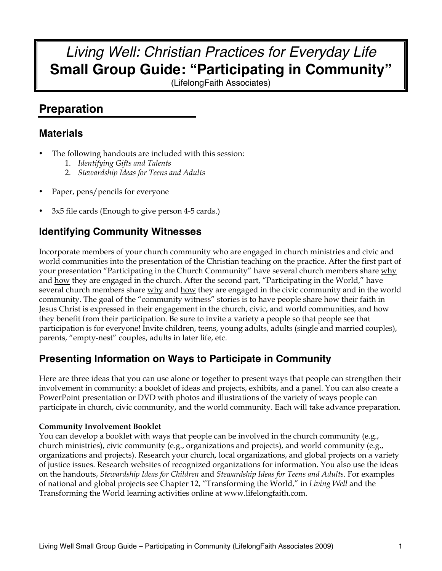# *Living Well: Christian Practices for Everyday Life* **Small Group Guide: "Participating in Community"**

(LifelongFaith Associates)

## **Preparation**

## **Materials**

- The following handouts are included with this session:
	- 1. *Identifying Gifts and Talents*
	- 2. *Stewardship Ideas for Teens and Adults*
- Paper, pens/pencils for everyone
- 3x5 file cards (Enough to give person 4-5 cards.)

## **Identifying Community Witnesses**

Incorporate members of your church community who are engaged in church ministries and civic and world communities into the presentation of the Christian teaching on the practice. After the first part of your presentation "Participating in the Church Community" have several church members share why and how they are engaged in the church. After the second part, "Participating in the World," have several church members share why and how they are engaged in the civic community and in the world community. The goal of the "community witness" stories is to have people share how their faith in Jesus Christ is expressed in their engagement in the church, civic, and world communities, and how they benefit from their participation. Be sure to invite a variety a people so that people see that participation is for everyone! Invite children, teens, young adults, adults (single and married couples), parents, "empty-nest" couples, adults in later life, etc.

## **Presenting Information on Ways to Participate in Community**

Here are three ideas that you can use alone or together to present ways that people can strengthen their involvement in community: a booklet of ideas and projects, exhibits, and a panel. You can also create a PowerPoint presentation or DVD with photos and illustrations of the variety of ways people can participate in church, civic community, and the world community. Each will take advance preparation.

#### **Community Involvement Booklet**

You can develop a booklet with ways that people can be involved in the church community (e.g., church ministries), civic community (e.g., organizations and projects), and world community (e.g., organizations and projects). Research your church, local organizations, and global projects on a variety of justice issues. Research websites of recognized organizations for information. You also use the ideas on the handouts, *Stewardship Ideas for Children* and *Stewardship Ideas for Teens and Adults*. For examples of national and global projects see Chapter 12, "Transforming the World," in *Living Well* and the Transforming the World learning activities online at www.lifelongfaith.com.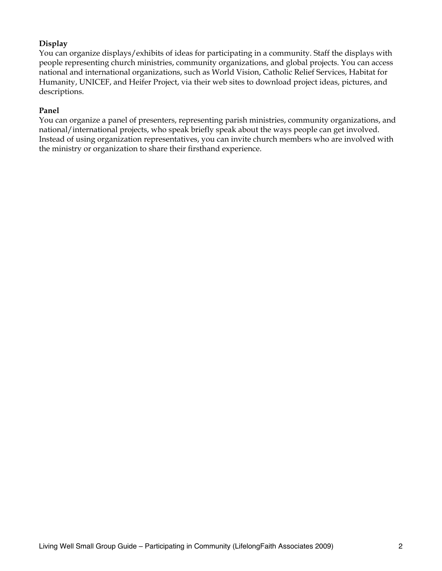#### **Display**

You can organize displays/exhibits of ideas for participating in a community. Staff the displays with people representing church ministries, community organizations, and global projects. You can access national and international organizations, such as World Vision, Catholic Relief Services, Habitat for Humanity, UNICEF, and Heifer Project, via their web sites to download project ideas, pictures, and descriptions.

#### **Panel**

You can organize a panel of presenters, representing parish ministries, community organizations, and national/international projects, who speak briefly speak about the ways people can get involved. Instead of using organization representatives, you can invite church members who are involved with the ministry or organization to share their firsthand experience.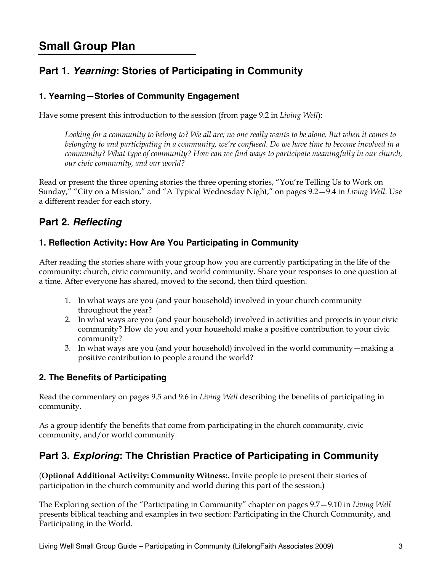## **Small Group Plan**

## **Part 1.** *Yearning***: Stories of Participating in Community**

#### **1. Yearning—Stories of Community Engagement**

Have some present this introduction to the session (from page 9.2 in *Living Well*):

*Looking for a community to belong to? We all are; no one really wants to be alone. But when it comes to belonging to and participating in a community, we're confused. Do we have time to become involved in a community? What type of community? How can we find ways to participate meaningfully in our church, our civic community, and our world?*

Read or present the three opening stories the three opening stories, "You're Telling Us to Work on Sunday," "City on a Mission," and "A Typical Wednesday Night," on pages 9.2—9.4 in *Living Well*. Use a different reader for each story.

## **Part 2.** *Reflecting*

#### **1. Reflection Activity: How Are You Participating in Community**

After reading the stories share with your group how you are currently participating in the life of the community: church, civic community, and world community. Share your responses to one question at a time. After everyone has shared, moved to the second, then third question.

- 1. In what ways are you (and your household) involved in your church community throughout the year?
- 2. In what ways are you (and your household) involved in activities and projects in your civic community? How do you and your household make a positive contribution to your civic community?
- 3. In what ways are you (and your household) involved in the world community—making a positive contribution to people around the world?

#### **2. The Benefits of Participating**

Read the commentary on pages 9.5 and 9.6 in *Living Well* describing the benefits of participating in community.

As a group identify the benefits that come from participating in the church community, civic community, and/or world community.

## **Part 3.** *Exploring***: The Christian Practice of Participating in Community**

(**Optional Additional Activity: Community Witness:.** Invite people to present their stories of participation in the church community and world during this part of the session.**)**

The Exploring section of the "Participating in Community" chapter on pages 9.7—9.10 in *Living Well* presents biblical teaching and examples in two section: Participating in the Church Community, and Participating in the World.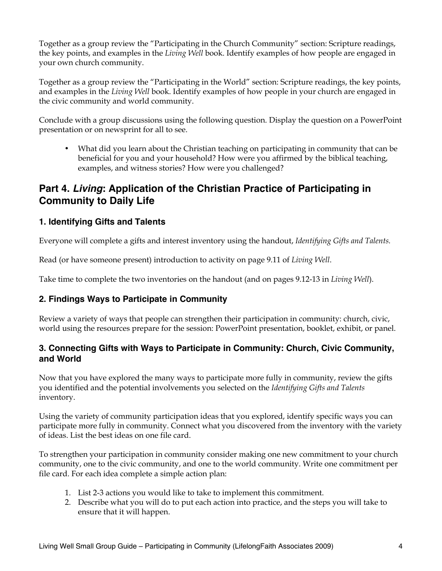Together as a group review the "Participating in the Church Community" section: Scripture readings, the key points, and examples in the *Living Well* book. Identify examples of how people are engaged in your own church community.

Together as a group review the "Participating in the World" section: Scripture readings, the key points, and examples in the *Living Well* book. Identify examples of how people in your church are engaged in the civic community and world community.

Conclude with a group discussions using the following question. Display the question on a PowerPoint presentation or on newsprint for all to see.

• What did you learn about the Christian teaching on participating in community that can be beneficial for you and your household? How were you affirmed by the biblical teaching, examples, and witness stories? How were you challenged?

## **Part 4.** *Living***: Application of the Christian Practice of Participating in Community to Daily Life**

#### **1. Identifying Gifts and Talents**

Everyone will complete a gifts and interest inventory using the handout, *Identifying Gifts and Talents.* 

Read (or have someone present) introduction to activity on page 9.11 of *Living Well*.

Take time to complete the two inventories on the handout (and on pages 9.12-13 in *Living Well*).

#### **2. Findings Ways to Participate in Community**

Review a variety of ways that people can strengthen their participation in community: church, civic, world using the resources prepare for the session: PowerPoint presentation, booklet, exhibit, or panel.

#### **3. Connecting Gifts with Ways to Participate in Community: Church, Civic Community, and World**

Now that you have explored the many ways to participate more fully in community, review the gifts you identified and the potential involvements you selected on the *Identifying Gifts and Talents* inventory.

Using the variety of community participation ideas that you explored, identify specific ways you can participate more fully in community. Connect what you discovered from the inventory with the variety of ideas. List the best ideas on one file card.

To strengthen your participation in community consider making one new commitment to your church community, one to the civic community, and one to the world community. Write one commitment per file card. For each idea complete a simple action plan:

- 1. List 2-3 actions you would like to take to implement this commitment.
- 2. Describe what you will do to put each action into practice, and the steps you will take to ensure that it will happen.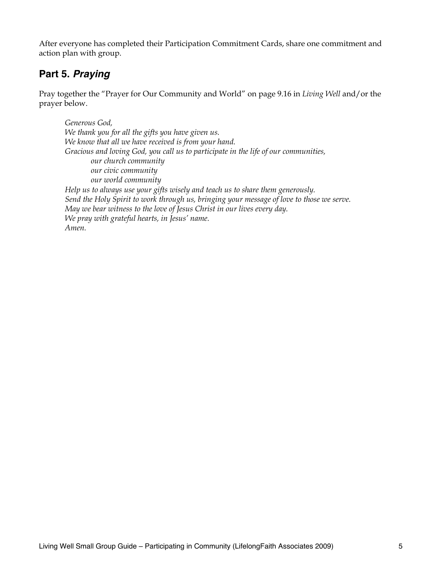After everyone has completed their Participation Commitment Cards, share one commitment and action plan with group.

## **Part 5.** *Praying*

Pray together the "Prayer for Our Community and World" on page 9.16 in *Living Well* and/or the prayer below.

*Generous God, We thank you for all the gifts you have given us. We know that all we have received is from your hand. Gracious and loving God, you call us to participate in the life of our communities, our church community our civic community our world community Help us to always use your gifts wisely and teach us to share them generously. Send the Holy Spirit to work through us, bringing your message of love to those we serve. May we bear witness to the love of Jesus Christ in our lives every day. We pray with grateful hearts, in Jesus' name. Amen.*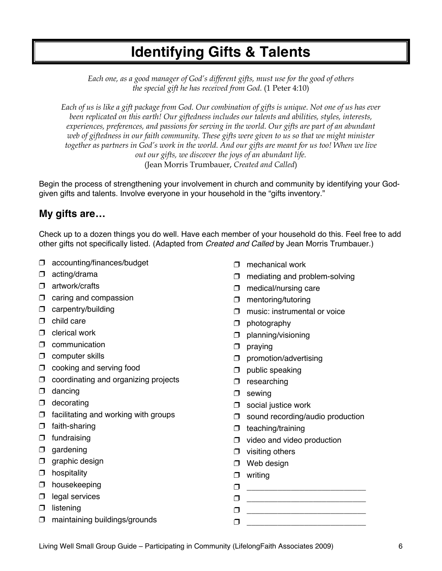# **Identifying Gifts & Talents**

*Each one, as a good manager of God's different gifts, must use for the good of others the special gift he has received from God.* (1 Peter 4:10)

*Each of us is like a gift package from God. Our combination of gifts is unique. Not one of us has ever been replicated on this earth! Our giftedness includes our talents and abilities, styles, interests, experiences, preferences, and passions for serving in the world. Our gifts are part of an abundant web of giftedness in our faith community. These gifts were given to us so that we might minister together as partners in God's work in the world. And our gifts are meant for us too! When we live out our gifts, we discover the joys of an abundant life.* (Jean Morris Trumbauer, *Created and Called*)

Begin the process of strengthening your involvement in church and community by identifying your Godgiven gifts and talents. Involve everyone in your household in the "gifts inventory."

### **My gifts are…**

Check up to a dozen things you do well. Have each member of your household do this. Feel free to add other gifts not specifically listed. (Adapted from *Created and Called* by Jean Morris Trumbauer.)

- accounting/finances/budget
- $\Box$  acting/drama
- artwork/crafts
- $\Box$  caring and compassion
- **D** carpentry/building
- $\Box$  child care
- $\Box$  clerical work
- $\Box$  communication
- $\Box$  computer skills
- $\Box$  cooking and serving food
- $\Box$  coordinating and organizing projects
- $\Box$  dancing
- $\Box$  decorating
- $\Box$  facilitating and working with groups
- $\Box$  faith-sharing
- $\Box$  fundraising
- $\Box$  gardening
- $\Box$  graphic design
- $\Box$  hospitality
- $\Box$  housekeeping
- $\Box$  legal services
- $\Box$  listening
- $\Box$  maintaining buildings/grounds
- $\Box$  mechanical work
- $\Box$  mediating and problem-solving
- $\Box$  medical/nursing care
- **D** mentoring/tutoring
- $\Box$  music: instrumental or voice
- $\Box$  photography
- $\square$  planning/visioning
- $\Box$  praying
- $\square$  promotion/advertising
- $\square$  public speaking
- $\Box$  researching
- $\square$  sewing
- $\Box$  social justice work
- $\Box$  sound recording/audio production
- $\Box$  teaching/training
- $\Box$  video and video production
- $\Box$  visiting others
- D Web design
- $\Box$  writing
- $\Box$
- \_\_\_\_\_\_\_\_\_\_\_\_\_\_\_\_\_\_\_\_\_\_\_\_\_\_\_
- \_\_\_\_\_\_\_\_\_\_\_\_\_\_\_\_\_\_\_\_\_\_\_\_\_\_\_  $\Box$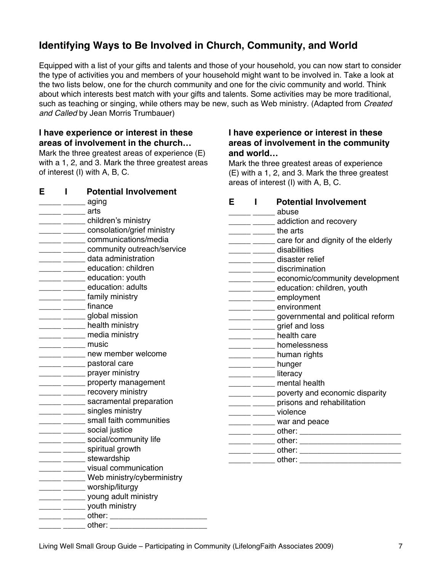## **Identifying Ways to Be Involved in Church, Community, and World**

Equipped with a list of your gifts and talents and those of your household, you can now start to consider the type of activities you and members of your household might want to be involved in. Take a look at the two lists below, one for the church community and one for the civic community and world. Think about which interests best match with your gifts and talents. Some activities may be more traditional, such as teaching or singing, while others may be new, such as Web ministry. (Adapted from *Created and Called* by Jean Morris Trumbauer)

**and world…**

**I have experience or interest in these areas of involvement in the community** 

Mark the three greatest areas of experience (E) with a 1, 2, and 3. Mark the three greatest

areas of interest (I) with A, B, C.

#### **I have experience or interest in these areas of involvement in the church…**

Mark the three greatest areas of experience (E) with a 1, 2, and 3. Mark the three greatest areas of interest (I) with A, B, C.

**E I Potential Involvement**

| <b>E</b> I    | <b>POLENTIAL INVOLVENTENT</b>                                                                                                                                                                                                                                                                                                                                                                                        |   |              |                                                       |
|---------------|----------------------------------------------------------------------------------------------------------------------------------------------------------------------------------------------------------------------------------------------------------------------------------------------------------------------------------------------------------------------------------------------------------------------|---|--------------|-------------------------------------------------------|
|               | $\frac{1}{\sqrt{1-\frac{1}{2}}\sqrt{1-\frac{1}{2}}\sqrt{1-\frac{1}{2}}\sqrt{1-\frac{1}{2}}\sqrt{1-\frac{1}{2}}\sqrt{1-\frac{1}{2}}\sqrt{1-\frac{1}{2}}\sqrt{1-\frac{1}{2}}\sqrt{1-\frac{1}{2}}\sqrt{1-\frac{1}{2}}\sqrt{1-\frac{1}{2}}\sqrt{1-\frac{1}{2}}\sqrt{1-\frac{1}{2}}\sqrt{1-\frac{1}{2}}\sqrt{1-\frac{1}{2}}\sqrt{1-\frac{1}{2}}\sqrt{1-\frac{1}{2}}\sqrt{1-\frac{1}{2}}\sqrt{1-\frac{1}{2}}\sqrt{1-\frac$ | E | $\mathbf{I}$ | <b>Potential Involvement</b>                          |
|               | _____ _____ arts                                                                                                                                                                                                                                                                                                                                                                                                     |   |              | abuse                                                 |
|               | ______ children's ministry                                                                                                                                                                                                                                                                                                                                                                                           |   |              | ______ ______ addiction and recovery                  |
|               | ______ _____ consolation/grief ministry                                                                                                                                                                                                                                                                                                                                                                              |   |              | ______ _______ the arts                               |
|               | _____ ______ communications/media                                                                                                                                                                                                                                                                                                                                                                                    |   |              | _______ care for and dignity of the elderly           |
|               | community outreach/service                                                                                                                                                                                                                                                                                                                                                                                           |   |              | disabilities                                          |
|               | data administration                                                                                                                                                                                                                                                                                                                                                                                                  |   |              | ______ _____ disaster relief                          |
|               | education: children                                                                                                                                                                                                                                                                                                                                                                                                  |   |              | ______ ______ discrimination                          |
|               | ______ education: youth                                                                                                                                                                                                                                                                                                                                                                                              |   |              | _______ _______ economic/community development        |
|               | ______ ______ education: adults                                                                                                                                                                                                                                                                                                                                                                                      |   |              | ______ _______ education: children, youth             |
|               | _____ family ministry                                                                                                                                                                                                                                                                                                                                                                                                |   |              | ______ employment                                     |
|               | <u>Land Community finance</u>                                                                                                                                                                                                                                                                                                                                                                                        |   |              | ______ ______ environment                             |
|               | ______ ______ global mission                                                                                                                                                                                                                                                                                                                                                                                         |   |              | ______ _______ governmental and political reform      |
|               | <u>_____</u> _____ health ministry                                                                                                                                                                                                                                                                                                                                                                                   |   |              | ______ grief and loss                                 |
|               | ______ _____ media ministry                                                                                                                                                                                                                                                                                                                                                                                          |   |              | ______ ______ health care                             |
|               | _____ ______ music                                                                                                                                                                                                                                                                                                                                                                                                   |   |              | <b>______</b> homelessness                            |
|               | <b>EXAMPLE 2014</b> new member welcome                                                                                                                                                                                                                                                                                                                                                                               |   |              | ______ ______ human rights                            |
|               | <u>_____</u> pastoral care                                                                                                                                                                                                                                                                                                                                                                                           |   |              | ______ ______ hunger                                  |
|               | ______ prayer ministry                                                                                                                                                                                                                                                                                                                                                                                               |   |              | Literacy                                              |
|               | ______ property management                                                                                                                                                                                                                                                                                                                                                                                           |   |              | ______ _____ mental health                            |
|               | ______ ______ recovery ministry                                                                                                                                                                                                                                                                                                                                                                                      |   |              | _______ poverty and economic disparity                |
|               | ______ ______ sacramental preparation                                                                                                                                                                                                                                                                                                                                                                                |   |              | ______ prisons and rehabilitation                     |
|               | <u>_____</u> singles ministry                                                                                                                                                                                                                                                                                                                                                                                        |   |              | ______ ______ violence                                |
|               | ______ ______ small faith communities                                                                                                                                                                                                                                                                                                                                                                                |   |              | ______ ______ war and peace                           |
|               | <u>____</u> social justice                                                                                                                                                                                                                                                                                                                                                                                           |   |              |                                                       |
|               | ________________ social/community life                                                                                                                                                                                                                                                                                                                                                                               |   |              | ______ ______ other: ______________________________   |
|               | _____ ______ spiritual growth                                                                                                                                                                                                                                                                                                                                                                                        |   |              | ______ ______ other: ________________________________ |
|               | ______ ______ stewardship                                                                                                                                                                                                                                                                                                                                                                                            |   |              |                                                       |
|               | ______ ______ visual communication                                                                                                                                                                                                                                                                                                                                                                                   |   |              |                                                       |
|               | ______ ______ Web ministry/cyberministry                                                                                                                                                                                                                                                                                                                                                                             |   |              |                                                       |
|               | ______ ______ worship/liturgy                                                                                                                                                                                                                                                                                                                                                                                        |   |              |                                                       |
|               | ______ ________ young adult ministry                                                                                                                                                                                                                                                                                                                                                                                 |   |              |                                                       |
|               | ______ _______ youth ministry                                                                                                                                                                                                                                                                                                                                                                                        |   |              |                                                       |
|               | _____ ______ other: ___________________________                                                                                                                                                                                                                                                                                                                                                                      |   |              |                                                       |
| $\frac{1}{1}$ |                                                                                                                                                                                                                                                                                                                                                                                                                      |   |              |                                                       |

Living Well Small Group Guide – Participating in Community (LifelongFaith Associates 2009) 7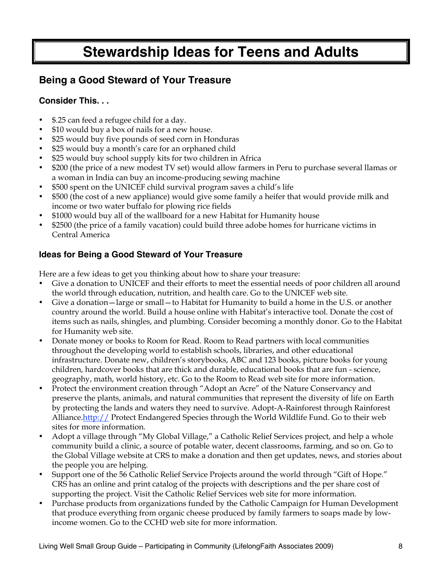# **Stewardship Ideas for Teens and Adults**

## **Being a Good Steward of Your Treasure**

### **Consider This. . .**

- \$.25 can feed a refugee child for a day.
- \$10 would buy a box of nails for a new house.
- \$25 would buy five pounds of seed corn in Honduras
- \$25 would buy a month's care for an orphaned child
- \$25 would buy school supply kits for two children in Africa
- \$200 (the price of a new modest TV set) would allow farmers in Peru to purchase several llamas or a woman in India can buy an income-producing sewing machine
- \$500 spent on the UNICEF child survival program saves a child's life
- \$500 (the cost of a new appliance) would give some family a heifer that would provide milk and income or two water buffalo for plowing rice fields
- \$1000 would buy all of the wallboard for a new Habitat for Humanity house
- \$2500 (the price of a family vacation) could build three adobe homes for hurricane victims in Central America

### **Ideas for Being a Good Steward of Your Treasure**

Here are a few ideas to get you thinking about how to share your treasure:

- Give a donation to UNICEF and their efforts to meet the essential needs of poor children all around the world through education, nutrition, and health care. Go to the UNICEF web site.
- Give a donation—large or small—to Habitat for Humanity to build a home in the U.S. or another country around the world. Build a house online with Habitat's interactive tool. Donate the cost of items such as nails, shingles, and plumbing. Consider becoming a monthly donor. Go to the Habitat for Humanity web site.
- Donate money or books to Room for Read. Room to Read partners with local communities throughout the developing world to establish schools, libraries, and other educational infrastructure. Donate new, children's storybooks, ABC and 123 books, picture books for young children, hardcover books that are thick and durable, educational books that are fun - science, geography, math, world history, etc. Go to the Room to Read web site for more information.
- Protect the environment creation through "Adopt an Acre" of the Nature Conservancy and preserve the plants, animals, and natural communities that represent the diversity of life on Earth by protecting the lands and waters they need to survive. Adopt-A-Rainforest through Rainforest Alliance.http:// Protect Endangered Species through the World Wildlife Fund. Go to their web sites for more information.
- Adopt a village through "My Global Village," a Catholic Relief Services project, and help a whole community build a clinic, a source of potable water, decent classrooms, farming, and so on. Go to the Global Village website at CRS to make a donation and then get updates, news, and stories about the people you are helping.
- Support one of the 56 Catholic Relief Service Projects around the world through "Gift of Hope." CRS has an online and print catalog of the projects with descriptions and the per share cost of supporting the project. Visit the Catholic Relief Services web site for more information.
- Purchase products from organizations funded by the Catholic Campaign for Human Development that produce everything from organic cheese produced by family farmers to soaps made by lowincome women. Go to the CCHD web site for more information.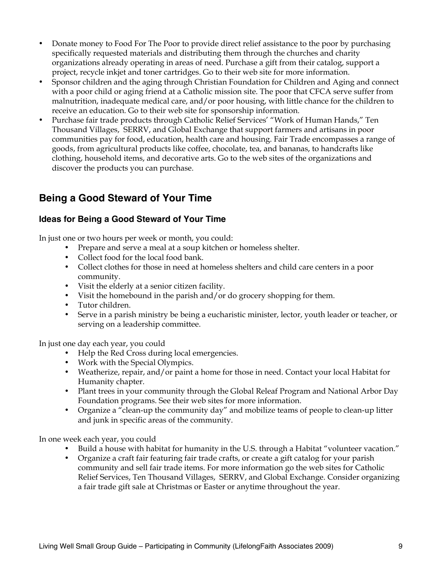- Donate money to Food For The Poor to provide direct relief assistance to the poor by purchasing specifically requested materials and distributing them through the churches and charity organizations already operating in areas of need. Purchase a gift from their catalog, support a project, recycle inkjet and toner cartridges. Go to their web site for more information.
- Sponsor children and the aging through Christian Foundation for Children and Aging and connect with a poor child or aging friend at a Catholic mission site. The poor that CFCA serve suffer from malnutrition, inadequate medical care, and/or poor housing, with little chance for the children to receive an education. Go to their web site for sponsorship information.
- Purchase fair trade products through Catholic Relief Services' "Work of Human Hands," Ten Thousand Villages, SERRV, and Global Exchange that support farmers and artisans in poor communities pay for food, education, health care and housing. Fair Trade encompasses a range of goods, from agricultural products like coffee, chocolate, tea, and bananas, to handcrafts like clothing, household items, and decorative arts. Go to the web sites of the organizations and discover the products you can purchase.

## **Being a Good Steward of Your Time**

#### **Ideas for Being a Good Steward of Your Time**

In just one or two hours per week or month, you could:

- Prepare and serve a meal at a soup kitchen or homeless shelter.
- Collect food for the local food bank.
- Collect clothes for those in need at homeless shelters and child care centers in a poor community.
- Visit the elderly at a senior citizen facility.
- Visit the homebound in the parish and/or do grocery shopping for them.
- Tutor children.
- Serve in a parish ministry be being a eucharistic minister, lector, youth leader or teacher, or serving on a leadership committee.

In just one day each year, you could

- Help the Red Cross during local emergencies.
- Work with the Special Olympics.
- Weatherize, repair, and/or paint a home for those in need. Contact your local Habitat for Humanity chapter.
- Plant trees in your community through the Global Releaf Program and National Arbor Day Foundation programs. See their web sites for more information.
- Organize a "clean-up the community day" and mobilize teams of people to clean-up litter and junk in specific areas of the community.

In one week each year, you could

- Build a house with habitat for humanity in the U.S. through a Habitat "volunteer vacation."
- Organize a craft fair featuring fair trade crafts, or create a gift catalog for your parish community and sell fair trade items. For more information go the web sites for Catholic Relief Services, Ten Thousand Villages, SERRV, and Global Exchange. Consider organizing a fair trade gift sale at Christmas or Easter or anytime throughout the year.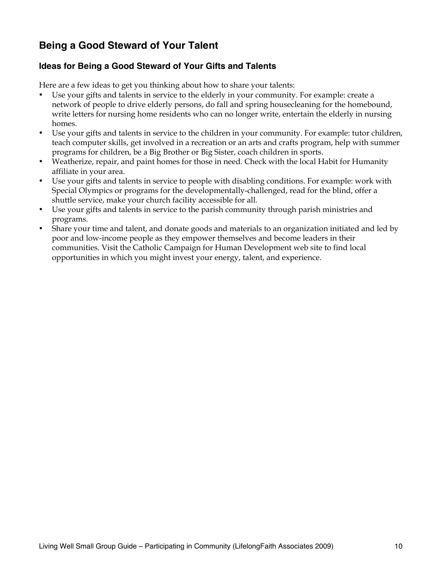## **Being a Good Steward of Your Talent**

#### **Ideas for Being a Good Steward of Your Gifts and Talents**

Here are a few ideas to get you thinking about how to share your talents:

- Use your gifts and talents in service to the elderly in your community. For example: create a network of people to drive elderly persons, do fall and spring housecleaning for the homebound, write letters for nursing home residents who can no longer write, entertain the elderly in nursing homes.
- Use your gifts and talents in service to the children in your community. For example: tutor children, teach computer skills, get involved in a recreation or an arts and crafts program, help with summer programs for children, be a Big Brother or Big Sister, coach children in sports.
- Weatherize, repair, and paint homes for those in need. Check with the local Habit for Humanity affiliate in your area.
- Use your gifts and talents in service to people with disabling conditions. For example: work with Special Olympics or programs for the developmentally-challenged, read for the blind, offer a shuttle service, make your church facility accessible for all.
- Use your gifts and talents in service to the parish community through parish ministries and programs.
- Share your time and talent, and donate goods and materials to an organization initiated and led by poor and low-income people as they empower themselves and become leaders in their communities. Visit the Catholic Campaign for Human Development web site to find local opportunities in which you might invest your energy, talent, and experience.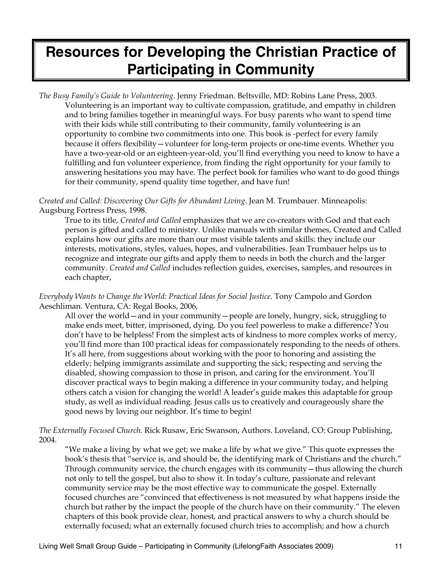# **Resources for Developing the Christian Practice of Participating in Community**

*The Busy Family's Guide to Volunteering*. Jenny Friedman. Beltsville, MD: Robins Lane Press, 2003. Volunteering is an important way to cultivate compassion, gratitude, and empathy in children and to bring families together in meaningful ways. For busy parents who want to spend time with their kids while still contributing to their community, family volunteering is an opportunity to combine two commitments into one. This book is -perfect for every family because it offers flexibility—volunteer for long-term projects or one-time events. Whether you have a two-year-old or an eighteen-year-old, you'll find everything you need to know to have a fulfilling and fun volunteer experience, from finding the right opportunity for your family to answering hesitations you may have. The perfect book for families who want to do good things for their community, spend quality time together, and have fun!

*Created and Called: Discovering Our Gifts for Abundant Living*. Jean M. Trumbauer. Minneapolis: Augsburg Fortress Press, 1998.

True to its title, *Created and Called* emphasizes that we are co-creators with God and that each person is gifted and called to ministry. Unlike manuals with similar themes, Created and Called explains how our gifts are more than our most visible talents and skills: they include our interests, motivations, styles, values, hopes, and vulnerabilities. Jean Trumbauer helps us to recognize and integrate our gifts and apply them to needs in both the church and the larger community. *Created and Called* includes reflection guides, exercises, samples, and resources in each chapter,

*Everybody Wants to Change the World: Practical Ideas for Social Justice*. Tony Campolo and Gordon Aeschliman. Ventura, CA: Regal Books, 2006,

All over the world—and in your community—people are lonely, hungry, sick, struggling to make ends meet, bitter, imprisoned, dying. Do you feel powerless to make a difference? You don't have to be helpless! From the simplest acts of kindness to more complex works of mercy, you'll find more than 100 practical ideas for compassionately responding to the needs of others. It's all here, from suggestions about working with the poor to honoring and assisting the elderly; helping immigrants assimilate and supporting the sick; respecting and serving the disabled, showing compassion to those in prison, and caring for the environment. You'll discover practical ways to begin making a difference in your community today, and helping others catch a vision for changing the world! A leader's guide makes this adaptable for group study, as well as individual reading. Jesus calls us to creatively and courageously share the good news by loving our neighbor. It's time to begin!

*The Externally Focused Church.* Rick Rusaw, Eric Swanson, Authors. Loveland, CO: Group Publishing, 2004.

"We make a living by what we get; we make a life by what we give." This quote expresses the book's thesis that "service is, and should be, the identifying mark of Christians and the church." Through community service, the church engages with its community—thus allowing the church not only to tell the gospel, but also to show it. In today's culture, passionate and relevant community service may be the most effective way to communicate the gospel. Externally focused churches are "convinced that effectiveness is not measured by what happens inside the church but rather by the impact the people of the church have on their community." The eleven chapters of this book provide clear, honest, and practical answers to why a church should be externally focused; what an externally focused church tries to accomplish; and how a church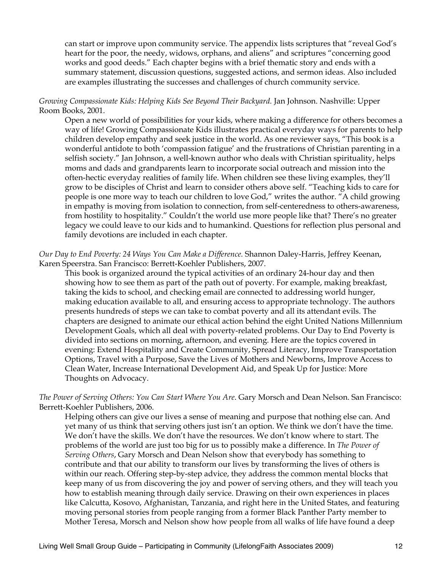can start or improve upon community service. The appendix lists scriptures that "reveal God's heart for the poor, the needy, widows, orphans, and aliens" and scriptures "concerning good works and good deeds." Each chapter begins with a brief thematic story and ends with a summary statement, discussion questions, suggested actions, and sermon ideas. Also included are examples illustrating the successes and challenges of church community service.

#### *Growing Compassionate Kids: Helping Kids See Beyond Their Backyard.* Jan Johnson. Nashville: Upper Room Books, 2001.

Open a new world of possibilities for your kids, where making a difference for others becomes a way of life! Growing Compassionate Kids illustrates practical everyday ways for parents to help children develop empathy and seek justice in the world. As one reviewer says, "This book is a wonderful antidote to both 'compassion fatigue' and the frustrations of Christian parenting in a selfish society." Jan Johnson, a well-known author who deals with Christian spirituality, helps moms and dads and grandparents learn to incorporate social outreach and mission into the often-hectic everyday realities of family life. When children see these living examples, they'll grow to be disciples of Christ and learn to consider others above self. "Teaching kids to care for people is one more way to teach our children to love God," writes the author. "A child growing in empathy is moving from isolation to connection, from self-centeredness to others-awareness, from hostility to hospitality." Couldn't the world use more people like that? There's no greater legacy we could leave to our kids and to humankind. Questions for reflection plus personal and family devotions are included in each chapter.

*Our Day to End Poverty: 24 Ways You Can Make a Difference.* Shannon Daley-Harris, Jeffrey Keenan, Karen Speerstra. San Francisco: Berrett-Koehler Publishers, 2007.

This book is organized around the typical activities of an ordinary 24-hour day and then showing how to see them as part of the path out of poverty. For example, making breakfast, taking the kids to school, and checking email are connected to addressing world hunger, making education available to all, and ensuring access to appropriate technology. The authors presents hundreds of steps we can take to combat poverty and all its attendant evils. The chapters are designed to animate our ethical action behind the eight United Nations Millennium Development Goals, which all deal with poverty-related problems. Our Day to End Poverty is divided into sections on morning, afternoon, and evening. Here are the topics covered in evening: Extend Hospitality and Create Community, Spread Literacy, Improve Transportation Options, Travel with a Purpose, Save the Lives of Mothers and Newborns, Improve Access to Clean Water, Increase International Development Aid, and Speak Up for Justice: More Thoughts on Advocacy.

*The Power of Serving Others: You Can Start Where You Are*. Gary Morsch and Dean Nelson. San Francisco: Berrett-Koehler Publishers, 2006.

Helping others can give our lives a sense of meaning and purpose that nothing else can. And yet many of us think that serving others just isn't an option. We think we don't have the time. We don't have the skills. We don't have the resources. We don't know where to start. The problems of the world are just too big for us to possibly make a difference. In *The Power of Serving Others*, Gary Morsch and Dean Nelson show that everybody has something to contribute and that our ability to transform our lives by transforming the lives of others is within our reach. Offering step-by-step advice, they address the common mental blocks that keep many of us from discovering the joy and power of serving others, and they will teach you how to establish meaning through daily service. Drawing on their own experiences in places like Calcutta, Kosovo, Afghanistan, Tanzania, and right here in the United States, and featuring moving personal stories from people ranging from a former Black Panther Party member to Mother Teresa, Morsch and Nelson show how people from all walks of life have found a deep